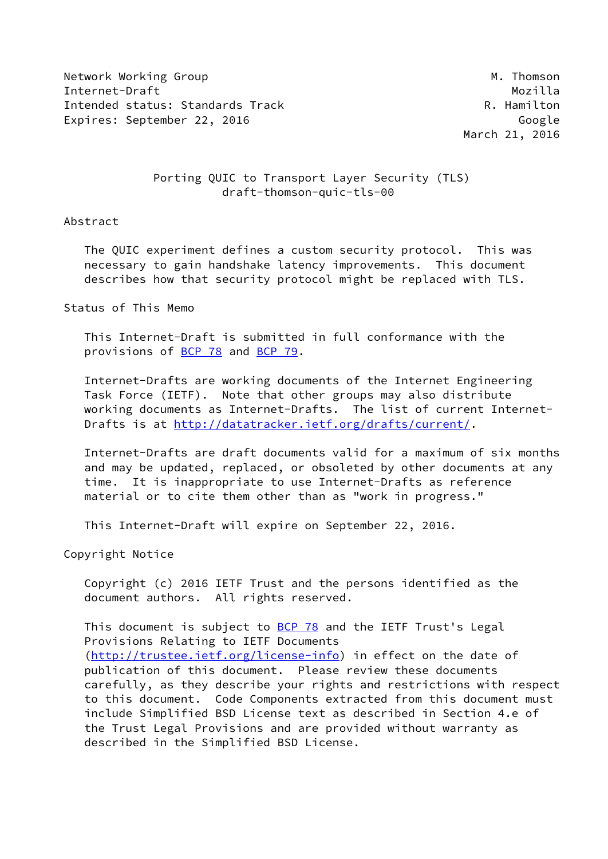Network Working Group Manuscript Communication of the Manuscript Manuscript Manuscript Manuscript Ma Internet-Draft Mozilla Intended status: Standards Track R. Hamilton Expires: September 22, 2016 Google

March 21, 2016

# Porting QUIC to Transport Layer Security (TLS) draft-thomson-quic-tls-00

#### Abstract

 The QUIC experiment defines a custom security protocol. This was necessary to gain handshake latency improvements. This document describes how that security protocol might be replaced with TLS.

# Status of This Memo

 This Internet-Draft is submitted in full conformance with the provisions of [BCP 78](https://datatracker.ietf.org/doc/pdf/bcp78) and [BCP 79](https://datatracker.ietf.org/doc/pdf/bcp79).

 Internet-Drafts are working documents of the Internet Engineering Task Force (IETF). Note that other groups may also distribute working documents as Internet-Drafts. The list of current Internet Drafts is at<http://datatracker.ietf.org/drafts/current/>.

 Internet-Drafts are draft documents valid for a maximum of six months and may be updated, replaced, or obsoleted by other documents at any time. It is inappropriate to use Internet-Drafts as reference material or to cite them other than as "work in progress."

This Internet-Draft will expire on September 22, 2016.

Copyright Notice

 Copyright (c) 2016 IETF Trust and the persons identified as the document authors. All rights reserved.

This document is subject to **[BCP 78](https://datatracker.ietf.org/doc/pdf/bcp78)** and the IETF Trust's Legal Provisions Relating to IETF Documents [\(http://trustee.ietf.org/license-info](http://trustee.ietf.org/license-info)) in effect on the date of publication of this document. Please review these documents carefully, as they describe your rights and restrictions with respect to this document. Code Components extracted from this document must include Simplified BSD License text as described in Section 4.e of the Trust Legal Provisions and are provided without warranty as described in the Simplified BSD License.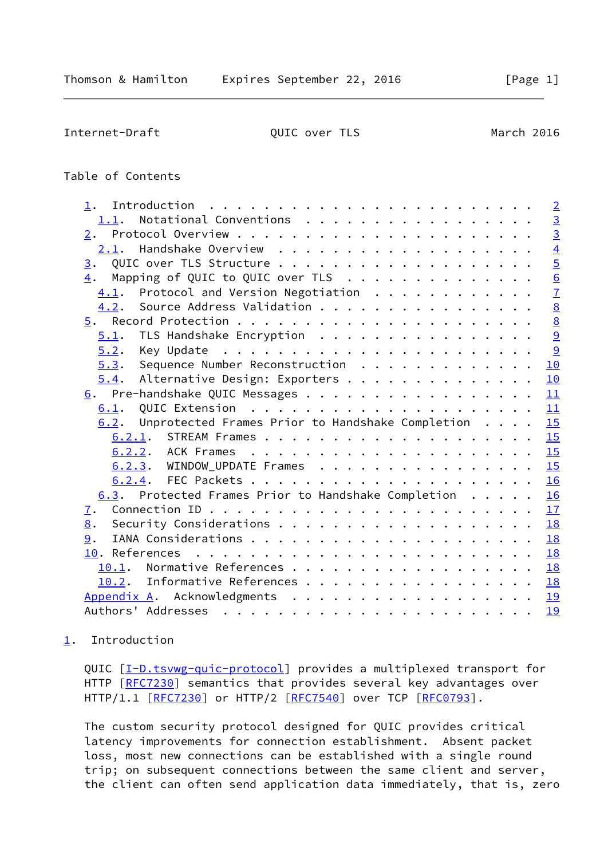<span id="page-1-1"></span>Internet-Draft QUIC over TLS March 2016

# Table of Contents

| 1.                                                                                                                                                                                                                                              |           | $\overline{2}$  |
|-------------------------------------------------------------------------------------------------------------------------------------------------------------------------------------------------------------------------------------------------|-----------|-----------------|
| Notational Conventions<br>1.1.                                                                                                                                                                                                                  |           | $\overline{3}$  |
| 2.                                                                                                                                                                                                                                              |           | $\overline{3}$  |
| 2.1.                                                                                                                                                                                                                                            |           | $\overline{4}$  |
| 3.                                                                                                                                                                                                                                              |           | $\overline{5}$  |
| Mapping of QUIC to QUIC over TLS<br>4.                                                                                                                                                                                                          |           | $\frac{6}{7}$   |
| Protocol and Version Negotiation<br>4.1.                                                                                                                                                                                                        |           |                 |
| Source Address Validation<br>4.2.                                                                                                                                                                                                               |           | $\underline{8}$ |
| 5.                                                                                                                                                                                                                                              |           | $\underline{8}$ |
| TLS Handshake Encryption<br>5.1.                                                                                                                                                                                                                |           | 9               |
| 5.2.                                                                                                                                                                                                                                            |           | 9               |
| 5.3. Sequence Number Reconstruction                                                                                                                                                                                                             | 10        |                 |
| Alternative Design: Exporters<br>5.4.                                                                                                                                                                                                           | 10        |                 |
| Pre-handshake QUIC Messages<br>6.                                                                                                                                                                                                               | 11        |                 |
| 6.1.                                                                                                                                                                                                                                            | 11        |                 |
| Unprotected Frames Prior to Handshake Completion<br>6.2.                                                                                                                                                                                        | 15        |                 |
|                                                                                                                                                                                                                                                 | 15        |                 |
| 6.2.2. ACK Frames                                                                                                                                                                                                                               | 15        |                 |
| 6.2.3. WINDOW_UPDATE Frames                                                                                                                                                                                                                     | 15        |                 |
|                                                                                                                                                                                                                                                 | 16        |                 |
| 6.3. Protected Frames Prior to Handshake Completion                                                                                                                                                                                             | 16        |                 |
| <u>7</u> .                                                                                                                                                                                                                                      | 17        |                 |
| 8.                                                                                                                                                                                                                                              | 18        |                 |
| 9.                                                                                                                                                                                                                                              | 18        |                 |
| 10. References<br>. The contract of the contract of the contract of the contract of the contract of the contract of the contract of the contract of the contract of the contract of the contract of the contract of the contract of the contrac | <b>18</b> |                 |
| Normative References<br>10.1.                                                                                                                                                                                                                   | 18        |                 |
| Informative References<br>10.2.                                                                                                                                                                                                                 | <b>18</b> |                 |
| Appendix A. Acknowledgments                                                                                                                                                                                                                     | 19        |                 |
|                                                                                                                                                                                                                                                 | 19        |                 |
|                                                                                                                                                                                                                                                 |           |                 |

# <span id="page-1-0"></span>[1](#page-1-0). Introduction

QUIC [\[I-D.tsvwg-quic-protocol](#page-19-5)] provides a multiplexed transport for HTTP [\[RFC7230](https://datatracker.ietf.org/doc/pdf/rfc7230)] semantics that provides several key advantages over HTTP/1.1 [\[RFC7230](https://datatracker.ietf.org/doc/pdf/rfc7230)] or HTTP/2 [\[RFC7540](https://datatracker.ietf.org/doc/pdf/rfc7540)] over TCP [\[RFC0793](https://datatracker.ietf.org/doc/pdf/rfc0793)].

 The custom security protocol designed for QUIC provides critical latency improvements for connection establishment. Absent packet loss, most new connections can be established with a single round trip; on subsequent connections between the same client and server, the client can often send application data immediately, that is, zero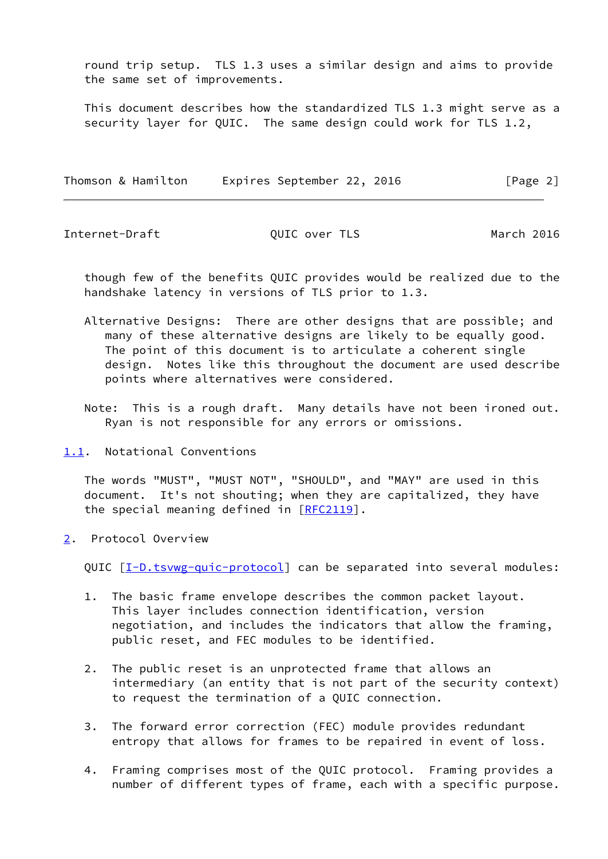round trip setup. TLS 1.3 uses a similar design and aims to provide the same set of improvements.

 This document describes how the standardized TLS 1.3 might serve as a security layer for QUIC. The same design could work for TLS 1.2,

| Thomson & Hamilton | Expires September 22, 2016 | [Page 2] |
|--------------------|----------------------------|----------|
|--------------------|----------------------------|----------|

<span id="page-2-1"></span>Internet-Draft QUIC over TLS March 2016

 though few of the benefits QUIC provides would be realized due to the handshake latency in versions of TLS prior to 1.3.

- Alternative Designs: There are other designs that are possible; and many of these alternative designs are likely to be equally good. The point of this document is to articulate a coherent single design. Notes like this throughout the document are used describe points where alternatives were considered.
- Note: This is a rough draft. Many details have not been ironed out. Ryan is not responsible for any errors or omissions.
- <span id="page-2-0"></span>[1.1](#page-2-0). Notational Conventions

 The words "MUST", "MUST NOT", "SHOULD", and "MAY" are used in this document. It's not shouting; when they are capitalized, they have the special meaning defined in  $[RFC2119]$  $[RFC2119]$ .

<span id="page-2-2"></span>[2](#page-2-2). Protocol Overview

QUIC [\[I-D.tsvwg-quic-protocol](#page-19-5)] can be separated into several modules:

- 1. The basic frame envelope describes the common packet layout. This layer includes connection identification, version negotiation, and includes the indicators that allow the framing, public reset, and FEC modules to be identified.
- 2. The public reset is an unprotected frame that allows an intermediary (an entity that is not part of the security context) to request the termination of a QUIC connection.
- 3. The forward error correction (FEC) module provides redundant entropy that allows for frames to be repaired in event of loss.
- 4. Framing comprises most of the QUIC protocol. Framing provides a number of different types of frame, each with a specific purpose.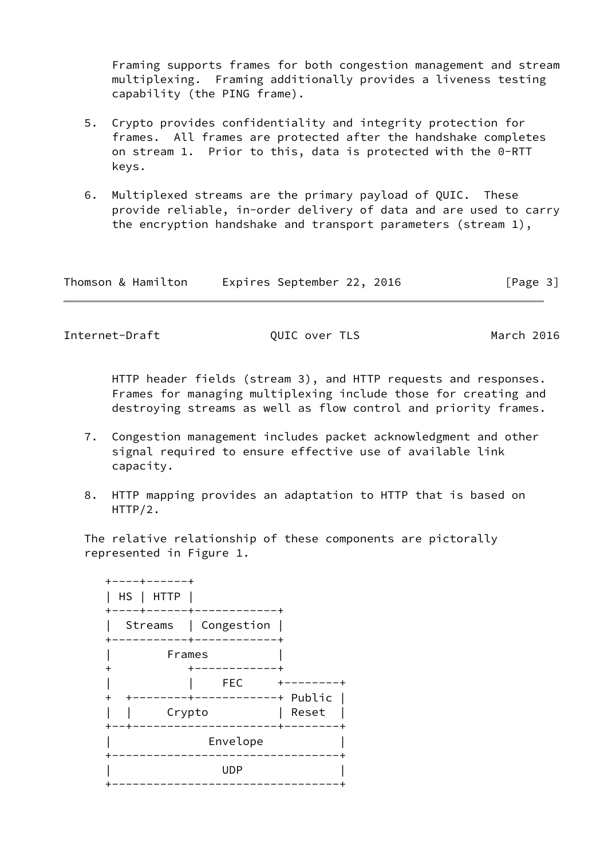Framing supports frames for both congestion management and stream multiplexing. Framing additionally provides a liveness testing capability (the PING frame).

- 5. Crypto provides confidentiality and integrity protection for frames. All frames are protected after the handshake completes on stream 1. Prior to this, data is protected with the 0-RTT keys.
- 6. Multiplexed streams are the primary payload of QUIC. These provide reliable, in-order delivery of data and are used to carry the encryption handshake and transport parameters (stream 1),

| Thomson & Hamilton | Expires September 22, 2016 | [Page 3] |
|--------------------|----------------------------|----------|
|--------------------|----------------------------|----------|

<span id="page-3-0"></span>Internet-Draft QUIC over TLS March 2016

 HTTP header fields (stream 3), and HTTP requests and responses. Frames for managing multiplexing include those for creating and destroying streams as well as flow control and priority frames.

- 7. Congestion management includes packet acknowledgment and other signal required to ensure effective use of available link capacity.
- 8. HTTP mapping provides an adaptation to HTTP that is based on HTTP/2.

 The relative relationship of these components are pictorally represented in Figure 1.

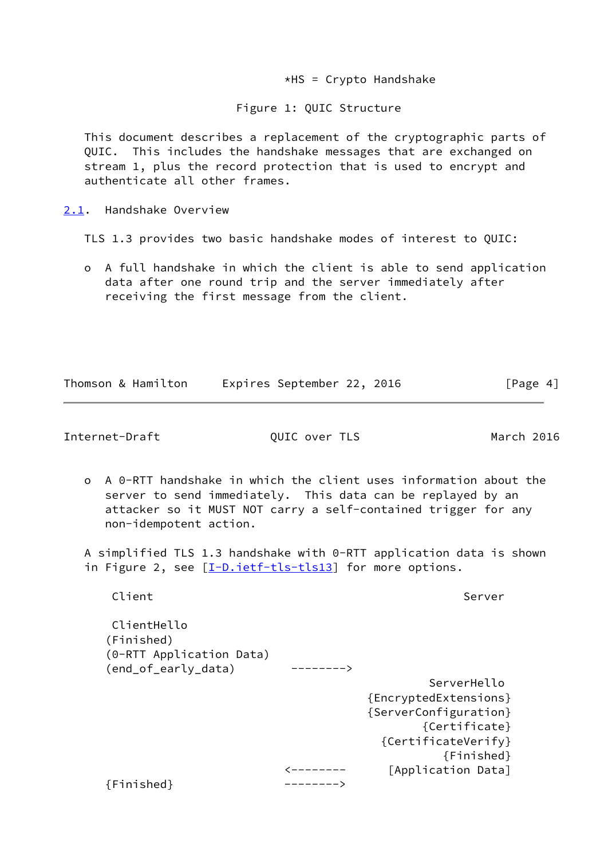$*$ HS = Crypto Handshake

#### Figure 1: QUIC Structure

 This document describes a replacement of the cryptographic parts of QUIC. This includes the handshake messages that are exchanged on stream 1, plus the record protection that is used to encrypt and authenticate all other frames.

<span id="page-4-0"></span>[2.1](#page-4-0). Handshake Overview

TLS 1.3 provides two basic handshake modes of interest to QUIC:

 o A full handshake in which the client is able to send application data after one round trip and the server immediately after receiving the first message from the client.

|  | Thomson & Hamilton | Expires September 22, 2016 |  | [Page 4] |  |
|--|--------------------|----------------------------|--|----------|--|
|  |                    |                            |  |          |  |

<span id="page-4-1"></span>Internet-Draft QUIC over TLS March 2016

 o A 0-RTT handshake in which the client uses information about the server to send immediately. This data can be replayed by an attacker so it MUST NOT carry a self-contained trigger for any non-idempotent action.

 A simplified TLS 1.3 handshake with 0-RTT application data is shown in Figure 2, see [\[I-D.ietf-tls-tls13\]](#page-19-6) for more options.

Client Server Server Server Server Server Server Server Server Server Server Server Server Server Server Serve

 ClientHello (Finished) (0-RTT Application Data) (end\_of\_early\_data) --------> ServerHello {EncryptedExtensions} {ServerConfiguration} {Certificate} {CertificateVerify} {Finished} <-------- [Application Data] {Finished} -------->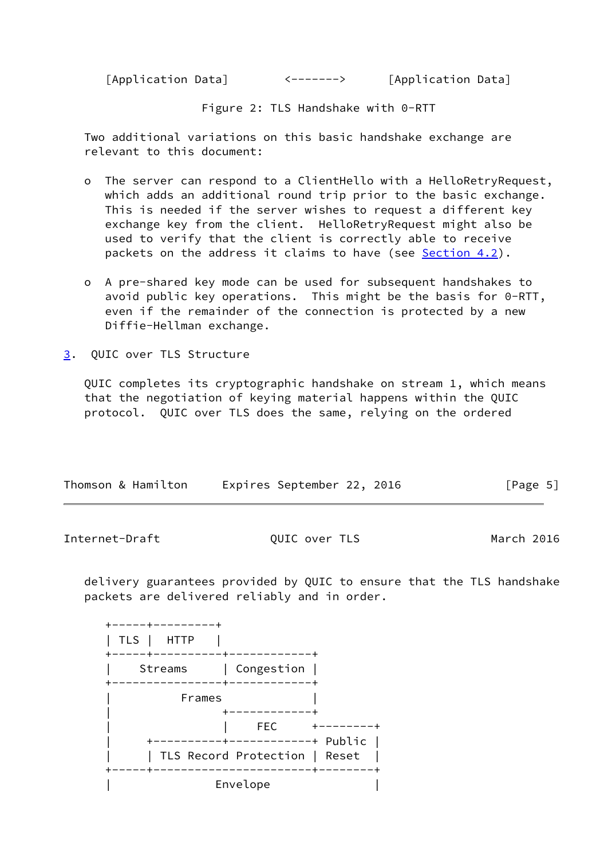[Application Data] <-------> [Application Data]

Figure 2: TLS Handshake with 0-RTT

 Two additional variations on this basic handshake exchange are relevant to this document:

- o The server can respond to a ClientHello with a HelloRetryRequest, which adds an additional round trip prior to the basic exchange. This is needed if the server wishes to request a different key exchange key from the client. HelloRetryRequest might also be used to verify that the client is correctly able to receive packets on the address it claims to have (see [Section 4.2](#page-8-0)).
- o A pre-shared key mode can be used for subsequent handshakes to avoid public key operations. This might be the basis for 0-RTT, even if the remainder of the connection is protected by a new Diffie-Hellman exchange.
- <span id="page-5-0"></span>[3](#page-5-0). QUIC over TLS Structure

 QUIC completes its cryptographic handshake on stream 1, which means that the negotiation of keying material happens within the QUIC protocol. QUIC over TLS does the same, relying on the ordered

| Thomson & Hamilton | Expires September 22, 2016 |  | [Page 5] |
|--------------------|----------------------------|--|----------|

<span id="page-5-1"></span>Internet-Draft QUIC over TLS March 2016

 delivery guarantees provided by QUIC to ensure that the TLS handshake packets are delivered reliably and in order.

| TLS<br>HTTP |                                                                   |  |
|-------------|-------------------------------------------------------------------|--|
| Streams     | Congestion                                                        |  |
| Frames      |                                                                   |  |
|             | <b>FEC</b><br>----------+ Public<br>TLS Record Protection   Reset |  |
|             | ------+-<br>Envelope                                              |  |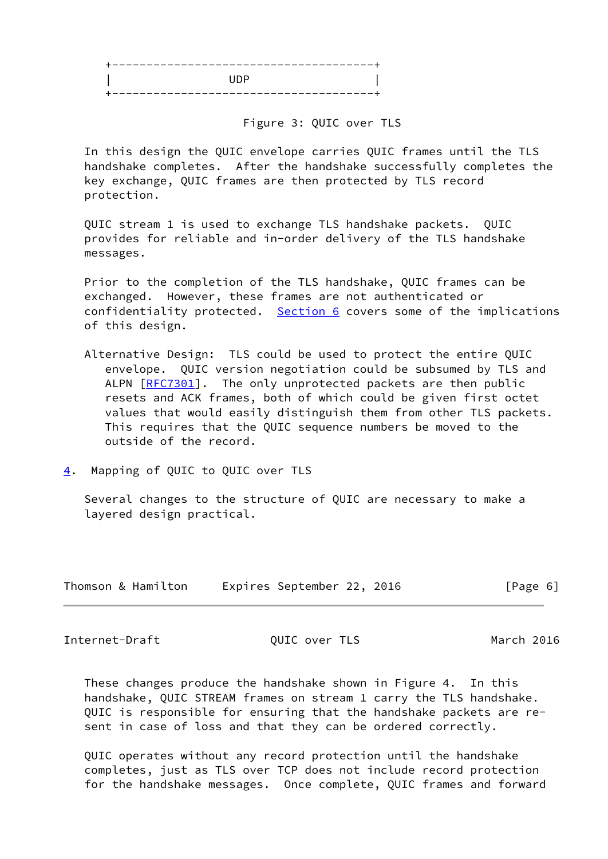| والمستنقص المتعادل والمتعادل والمتعادلات<br>---<br>--- |
|--------------------------------------------------------|
| une                                                    |
| - -                                                    |

Figure 3: QUIC over TLS

 In this design the QUIC envelope carries QUIC frames until the TLS handshake completes. After the handshake successfully completes the key exchange, QUIC frames are then protected by TLS record protection.

 QUIC stream 1 is used to exchange TLS handshake packets. QUIC provides for reliable and in-order delivery of the TLS handshake messages.

 Prior to the completion of the TLS handshake, QUIC frames can be exchanged. However, these frames are not authenticated or confidentiality protected. [Section 6](#page-11-0) covers some of the implications of this design.

- Alternative Design: TLS could be used to protect the entire QUIC envelope. QUIC version negotiation could be subsumed by TLS and ALPN [\[RFC7301](https://datatracker.ietf.org/doc/pdf/rfc7301)]. The only unprotected packets are then public resets and ACK frames, both of which could be given first octet values that would easily distinguish them from other TLS packets. This requires that the QUIC sequence numbers be moved to the outside of the record.
- <span id="page-6-0"></span>[4](#page-6-0). Mapping of QUIC to QUIC over TLS

 Several changes to the structure of QUIC are necessary to make a layered design practical.

| Thomson & Hamilton | Expires September 22, 2016 | [Page 6] |
|--------------------|----------------------------|----------|
|--------------------|----------------------------|----------|

<span id="page-6-1"></span>Internet-Draft QUIC over TLS March 2016

 These changes produce the handshake shown in Figure 4. In this handshake, QUIC STREAM frames on stream 1 carry the TLS handshake. QUIC is responsible for ensuring that the handshake packets are re sent in case of loss and that they can be ordered correctly.

 QUIC operates without any record protection until the handshake completes, just as TLS over TCP does not include record protection for the handshake messages. Once complete, QUIC frames and forward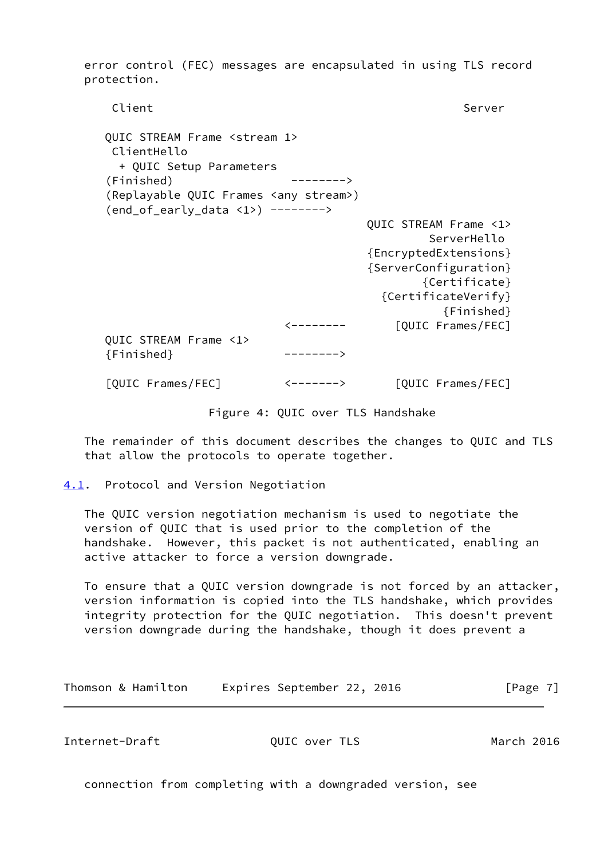error control (FEC) messages are encapsulated in using TLS record protection.

Client Server Server Server Server Server Server Server Server Server Server Server Server Server Server Serve QUIC STREAM Frame <stream 1> ClientHello + QUIC Setup Parameters (Finished) --------> (Replayable QUIC Frames <any stream>) (end\_of\_early\_data <1>) --------> QUIC STREAM Frame <1> ServerHello {EncryptedExtensions} {ServerConfiguration} {Certificate} {CertificateVerify} {Finished} <-------- [QUIC Frames/FEC] QUIC STREAM Frame <1> {Finished} --------> [QUIC Frames/FEC] <-------> [QUIC Frames/FEC]

#### Figure 4: QUIC over TLS Handshake

 The remainder of this document describes the changes to QUIC and TLS that allow the protocols to operate together.

<span id="page-7-0"></span>[4.1](#page-7-0). Protocol and Version Negotiation

 The QUIC version negotiation mechanism is used to negotiate the version of QUIC that is used prior to the completion of the handshake. However, this packet is not authenticated, enabling an active attacker to force a version downgrade.

 To ensure that a QUIC version downgrade is not forced by an attacker, version information is copied into the TLS handshake, which provides integrity protection for the QUIC negotiation. This doesn't prevent version downgrade during the handshake, though it does prevent a

Thomson & Hamilton Expires September 22, 2016 [Page 7]

<span id="page-7-1"></span>Internet-Draft QUIC over TLS March 2016

connection from completing with a downgraded version, see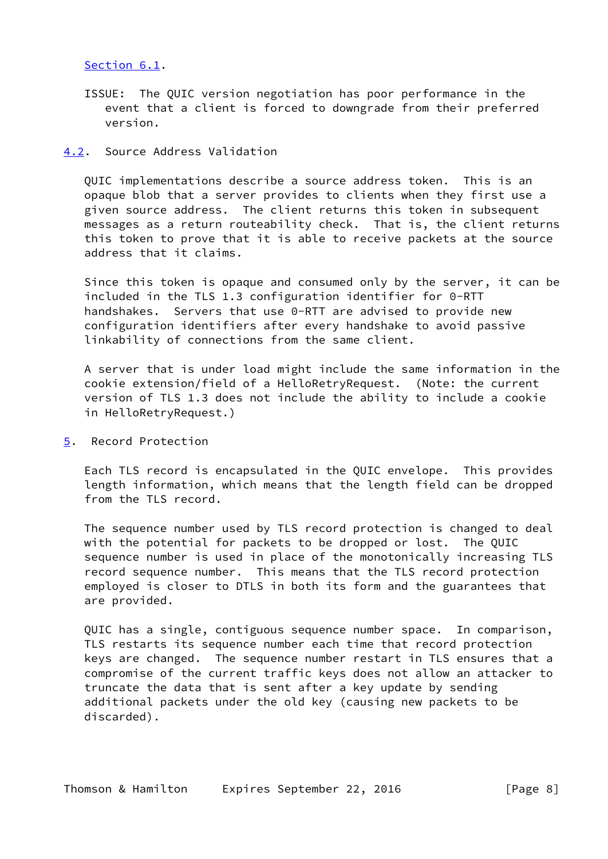## [Section 6.1](#page-12-0).

 ISSUE: The QUIC version negotiation has poor performance in the event that a client is forced to downgrade from their preferred version.

#### <span id="page-8-0"></span>[4.2](#page-8-0). Source Address Validation

 QUIC implementations describe a source address token. This is an opaque blob that a server provides to clients when they first use a given source address. The client returns this token in subsequent messages as a return routeability check. That is, the client returns this token to prove that it is able to receive packets at the source address that it claims.

 Since this token is opaque and consumed only by the server, it can be included in the TLS 1.3 configuration identifier for 0-RTT handshakes. Servers that use 0-RTT are advised to provide new configuration identifiers after every handshake to avoid passive linkability of connections from the same client.

 A server that is under load might include the same information in the cookie extension/field of a HelloRetryRequest. (Note: the current version of TLS 1.3 does not include the ability to include a cookie in HelloRetryRequest.)

<span id="page-8-1"></span>[5](#page-8-1). Record Protection

 Each TLS record is encapsulated in the QUIC envelope. This provides length information, which means that the length field can be dropped from the TLS record.

 The sequence number used by TLS record protection is changed to deal with the potential for packets to be dropped or lost. The QUIC sequence number is used in place of the monotonically increasing TLS record sequence number. This means that the TLS record protection employed is closer to DTLS in both its form and the guarantees that are provided.

 QUIC has a single, contiguous sequence number space. In comparison, TLS restarts its sequence number each time that record protection keys are changed. The sequence number restart in TLS ensures that a compromise of the current traffic keys does not allow an attacker to truncate the data that is sent after a key update by sending additional packets under the old key (causing new packets to be discarded).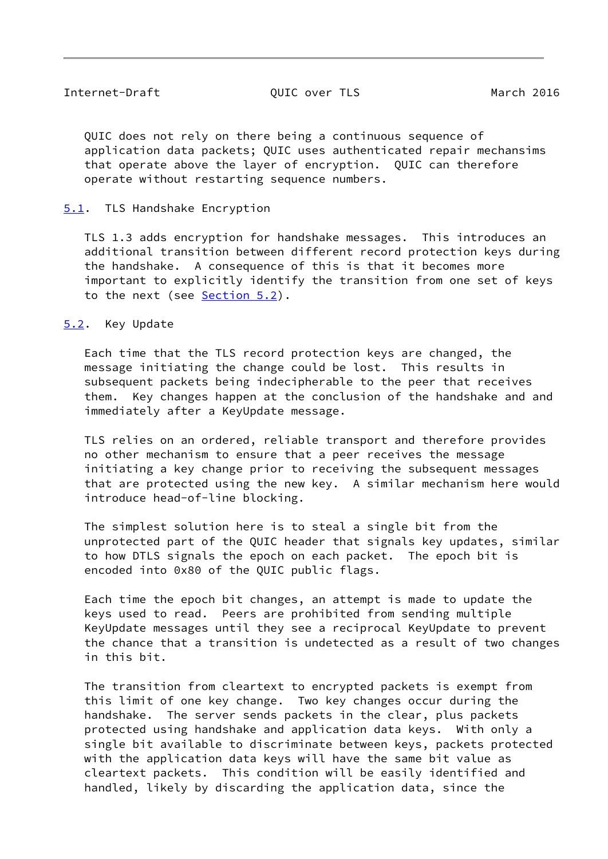<span id="page-9-1"></span> QUIC does not rely on there being a continuous sequence of application data packets; QUIC uses authenticated repair mechansims that operate above the layer of encryption. QUIC can therefore operate without restarting sequence numbers.

# <span id="page-9-0"></span>[5.1](#page-9-0). TLS Handshake Encryption

 TLS 1.3 adds encryption for handshake messages. This introduces an additional transition between different record protection keys during the handshake. A consequence of this is that it becomes more important to explicitly identify the transition from one set of keys to the next (see [Section 5.2](#page-9-2)).

## <span id="page-9-2"></span>[5.2](#page-9-2). Key Update

 Each time that the TLS record protection keys are changed, the message initiating the change could be lost. This results in subsequent packets being indecipherable to the peer that receives them. Key changes happen at the conclusion of the handshake and and immediately after a KeyUpdate message.

 TLS relies on an ordered, reliable transport and therefore provides no other mechanism to ensure that a peer receives the message initiating a key change prior to receiving the subsequent messages that are protected using the new key. A similar mechanism here would introduce head-of-line blocking.

 The simplest solution here is to steal a single bit from the unprotected part of the QUIC header that signals key updates, similar to how DTLS signals the epoch on each packet. The epoch bit is encoded into 0x80 of the QUIC public flags.

 Each time the epoch bit changes, an attempt is made to update the keys used to read. Peers are prohibited from sending multiple KeyUpdate messages until they see a reciprocal KeyUpdate to prevent the chance that a transition is undetected as a result of two changes in this bit.

 The transition from cleartext to encrypted packets is exempt from this limit of one key change. Two key changes occur during the handshake. The server sends packets in the clear, plus packets protected using handshake and application data keys. With only a single bit available to discriminate between keys, packets protected with the application data keys will have the same bit value as cleartext packets. This condition will be easily identified and handled, likely by discarding the application data, since the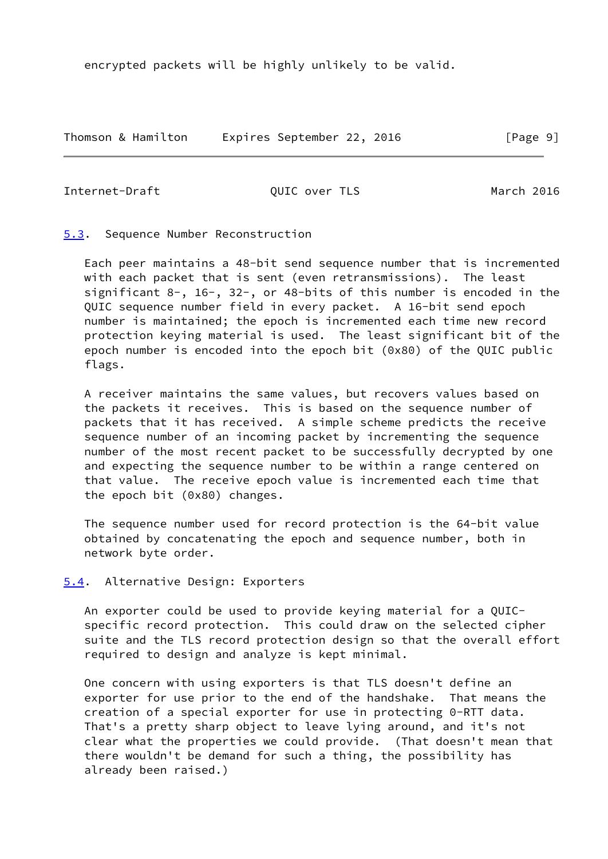encrypted packets will be highly unlikely to be valid.

Thomson & Hamilton Expires September 22, 2016 [Page 9]

<span id="page-10-1"></span>Internet-Draft QUIC over TLS March 2016

<span id="page-10-0"></span>[5.3](#page-10-0). Sequence Number Reconstruction

 Each peer maintains a 48-bit send sequence number that is incremented with each packet that is sent (even retransmissions). The least significant 8-, 16-, 32-, or 48-bits of this number is encoded in the QUIC sequence number field in every packet. A 16-bit send epoch number is maintained; the epoch is incremented each time new record protection keying material is used. The least significant bit of the epoch number is encoded into the epoch bit (0x80) of the QUIC public flags.

 A receiver maintains the same values, but recovers values based on the packets it receives. This is based on the sequence number of packets that it has received. A simple scheme predicts the receive sequence number of an incoming packet by incrementing the sequence number of the most recent packet to be successfully decrypted by one and expecting the sequence number to be within a range centered on that value. The receive epoch value is incremented each time that the epoch bit (0x80) changes.

 The sequence number used for record protection is the 64-bit value obtained by concatenating the epoch and sequence number, both in network byte order.

<span id="page-10-2"></span>[5.4](#page-10-2). Alternative Design: Exporters

 An exporter could be used to provide keying material for a QUIC specific record protection. This could draw on the selected cipher suite and the TLS record protection design so that the overall effort required to design and analyze is kept minimal.

 One concern with using exporters is that TLS doesn't define an exporter for use prior to the end of the handshake. That means the creation of a special exporter for use in protecting 0-RTT data. That's a pretty sharp object to leave lying around, and it's not clear what the properties we could provide. (That doesn't mean that there wouldn't be demand for such a thing, the possibility has already been raised.)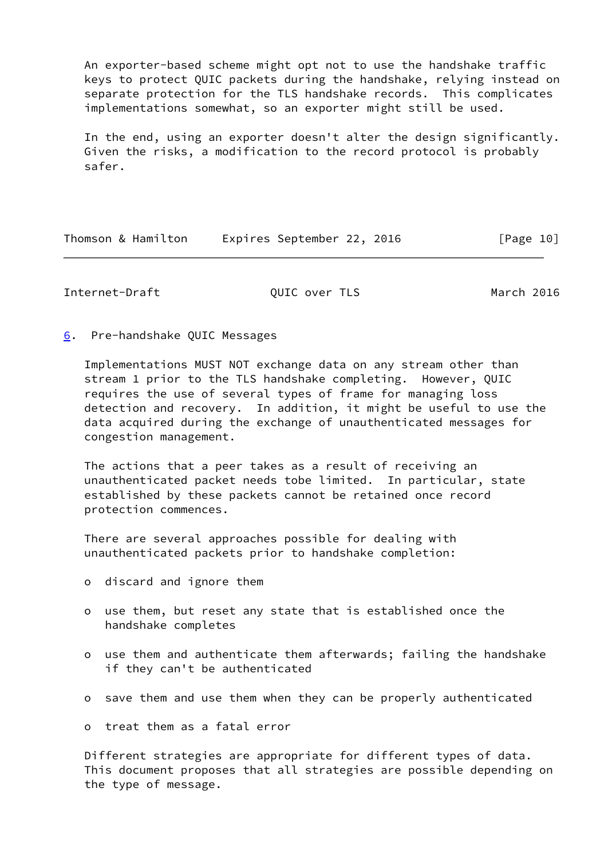An exporter-based scheme might opt not to use the handshake traffic keys to protect QUIC packets during the handshake, relying instead on separate protection for the TLS handshake records. This complicates implementations somewhat, so an exporter might still be used.

 In the end, using an exporter doesn't alter the design significantly. Given the risks, a modification to the record protocol is probably safer.

| Thomson & Hamilton | Expires September 22, 2016 | [Page 10] |
|--------------------|----------------------------|-----------|
|--------------------|----------------------------|-----------|

<span id="page-11-1"></span>Internet-Draft QUIC over TLS March 2016

<span id="page-11-0"></span>[6](#page-11-0). Pre-handshake QUIC Messages

 Implementations MUST NOT exchange data on any stream other than stream 1 prior to the TLS handshake completing. However, QUIC requires the use of several types of frame for managing loss detection and recovery. In addition, it might be useful to use the data acquired during the exchange of unauthenticated messages for congestion management.

 The actions that a peer takes as a result of receiving an unauthenticated packet needs tobe limited. In particular, state established by these packets cannot be retained once record protection commences.

 There are several approaches possible for dealing with unauthenticated packets prior to handshake completion:

- o discard and ignore them
- o use them, but reset any state that is established once the handshake completes
- o use them and authenticate them afterwards; failing the handshake if they can't be authenticated
- o save them and use them when they can be properly authenticated

o treat them as a fatal error

 Different strategies are appropriate for different types of data. This document proposes that all strategies are possible depending on the type of message.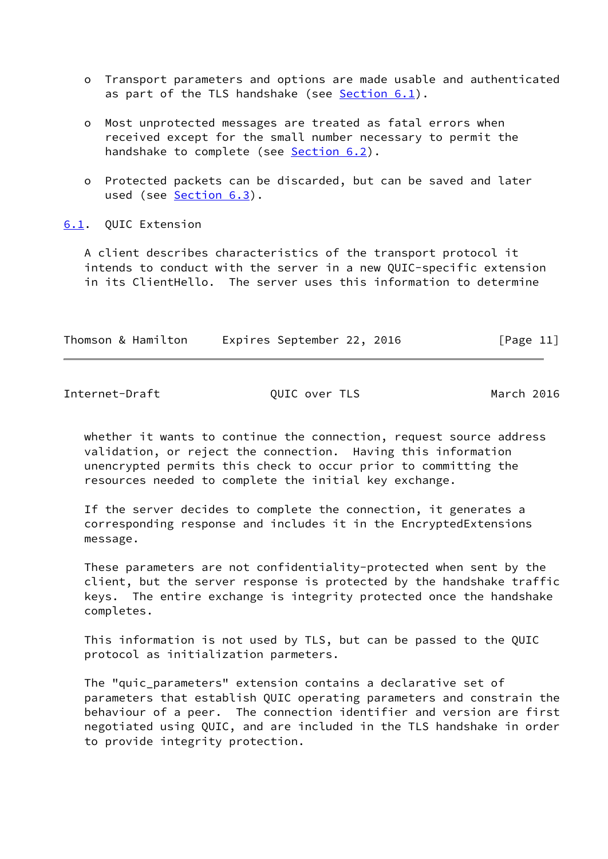- o Transport parameters and options are made usable and authenticated as part of the TLS handshake (see [Section 6.1](#page-12-0)).
- o Most unprotected messages are treated as fatal errors when received except for the small number necessary to permit the handshake to complete (see **Section 6.2**).
- o Protected packets can be discarded, but can be saved and later used (see [Section 6.3](#page-17-2)).

<span id="page-12-0"></span>[6.1](#page-12-0). QUIC Extension

 A client describes characteristics of the transport protocol it intends to conduct with the server in a new QUIC-specific extension in its ClientHello. The server uses this information to determine

| Thomson & Hamilton | Expires September 22, 2016 | [Page 11] |
|--------------------|----------------------------|-----------|
|                    |                            |           |

Internet-Draft **Canadian CUIC** over TLS March 2016

 whether it wants to continue the connection, request source address validation, or reject the connection. Having this information unencrypted permits this check to occur prior to committing the resources needed to complete the initial key exchange.

 If the server decides to complete the connection, it generates a corresponding response and includes it in the EncryptedExtensions message.

 These parameters are not confidentiality-protected when sent by the client, but the server response is protected by the handshake traffic keys. The entire exchange is integrity protected once the handshake completes.

 This information is not used by TLS, but can be passed to the QUIC protocol as initialization parmeters.

 The "quic\_parameters" extension contains a declarative set of parameters that establish QUIC operating parameters and constrain the behaviour of a peer. The connection identifier and version are first negotiated using QUIC, and are included in the TLS handshake in order to provide integrity protection.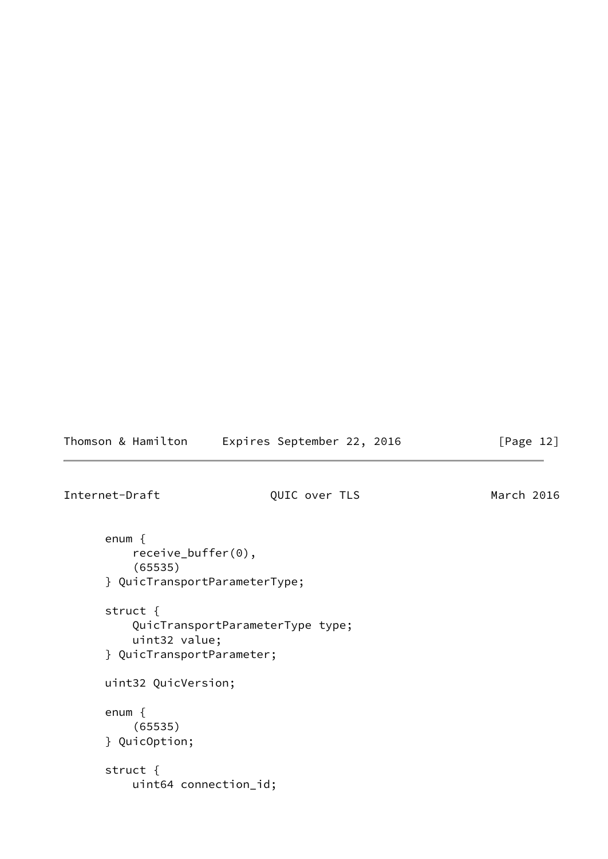Thomson & Hamilton Expires September 22, 2016 [Page 12]

Internet-Draft QUIC over TLS March 2016

 enum { receive\_buffer(0), (65535) } QuicTransportParameterType; struct { QuicTransportParameterType type; uint32 value; } QuicTransportParameter; uint32 QuicVersion; enum { (65535) } QuicOption; struct { uint64 connection\_id;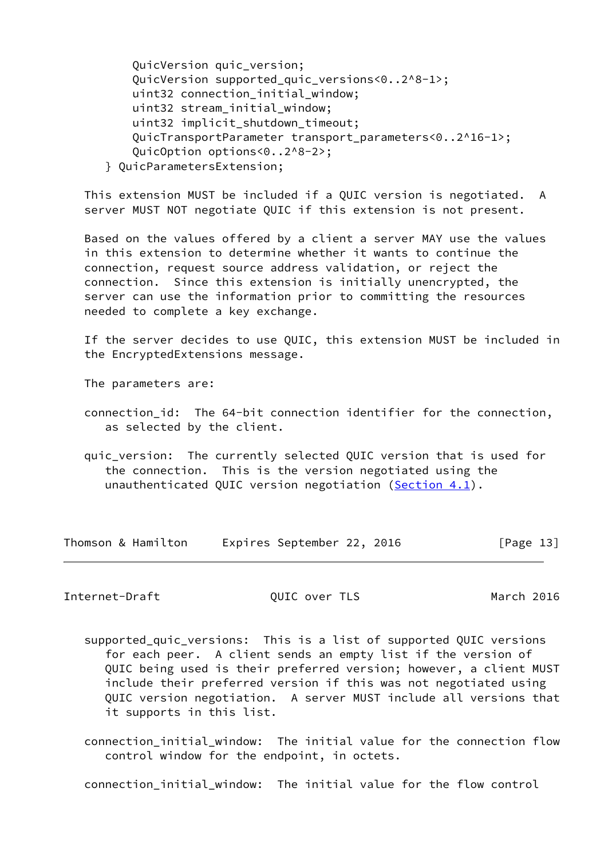- QuicVersion quic\_version; QuicVersion supported\_quic\_versions<0..2^8-1>; uint32 connection initial window; uint32 stream\_initial\_window; uint32 implicit\_shutdown\_timeout; QuicTransportParameter transport\_parameters<0..2^16-1>; QuicOption options<0..2^8-2>;
- } QuicParametersExtension;

 This extension MUST be included if a QUIC version is negotiated. A server MUST NOT negotiate QUIC if this extension is not present.

 Based on the values offered by a client a server MAY use the values in this extension to determine whether it wants to continue the connection, request source address validation, or reject the connection. Since this extension is initially unencrypted, the server can use the information prior to committing the resources needed to complete a key exchange.

 If the server decides to use QUIC, this extension MUST be included in the EncryptedExtensions message.

The parameters are:

- connection\_id: The 64-bit connection identifier for the connection, as selected by the client.
- quic\_version: The currently selected QUIC version that is used for the connection. This is the version negotiated using the unauthenticated QUIC version negotiation [\(Section 4.1](#page-7-0)).

Thomson & Hamilton Expires September 22, 2016 [Page 13]

Internet-Draft QUIC over TLS March 2016

- supported\_quic\_versions: This is a list of supported QUIC versions for each peer. A client sends an empty list if the version of QUIC being used is their preferred version; however, a client MUST include their preferred version if this was not negotiated using QUIC version negotiation. A server MUST include all versions that it supports in this list.
- connection\_initial\_window: The initial value for the connection flow control window for the endpoint, in octets.

connection\_initial\_window: The initial value for the flow control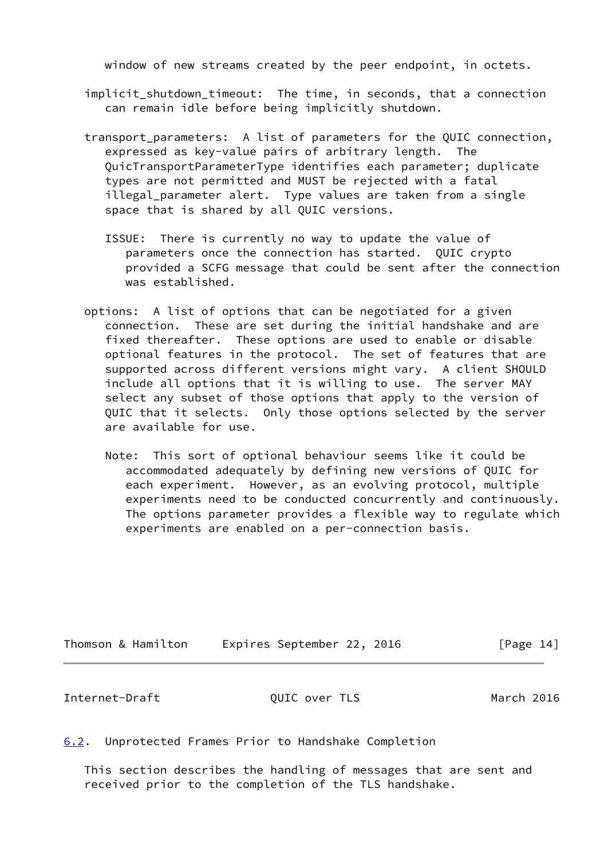window of new streams created by the peer endpoint, in octets.

- implicit shutdown timeout: The time, in seconds, that a connection can remain idle before being implicitly shutdown.
- transport parameters: A list of parameters for the QUIC connection, expressed as key-value pairs of arbitrary length. The QuicTransportParameterType identifies each parameter; duplicate types are not permitted and MUST be rejected with a fatal illegal parameter alert. Type values are taken from a single space that is shared by all QUIC versions.
	- ISSUE: There is currently no way to update the value of parameters once the connection has started. QUIC crypto provided a SCFG message that could be sent after the connection was established.
- options: A list of options that can be negotiated for a given connection. These are set during the initial handshake and are fixed thereafter. These options are used to enable or disable optional features in the protocol. The set of features that are supported across different versions might vary. A client SHOULD include all options that it is willing to use. The server MAY select any subset of those options that apply to the version of QUIC that it selects. Only those options selected by the server are available for use.
	- Note: This sort of optional behaviour seems like it could be accommodated adequately by defining new versions of QUIC for each experiment. However, as an evolving protocol, multiple experiments need to be conducted concurrently and continuously. The options parameter provides a flexible way to regulate which experiments are enabled on a per-connection basis.

| Thomson & Hamilton | Expires September 22, 2016 | [Page 14] |
|--------------------|----------------------------|-----------|
|--------------------|----------------------------|-----------|

<span id="page-15-1"></span>Internet-Draft QUIC over TLS March 2016

<span id="page-15-0"></span>[6.2](#page-15-0). Unprotected Frames Prior to Handshake Completion

 This section describes the handling of messages that are sent and received prior to the completion of the TLS handshake.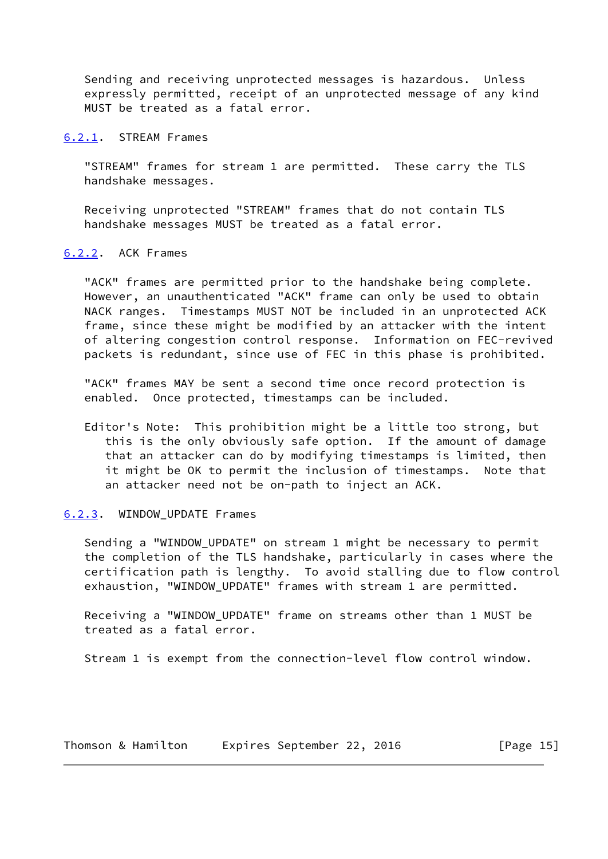Sending and receiving unprotected messages is hazardous. Unless expressly permitted, receipt of an unprotected message of any kind MUST be treated as a fatal error.

#### <span id="page-16-0"></span>[6.2.1](#page-16-0). STREAM Frames

 "STREAM" frames for stream 1 are permitted. These carry the TLS handshake messages.

 Receiving unprotected "STREAM" frames that do not contain TLS handshake messages MUST be treated as a fatal error.

## <span id="page-16-1"></span>[6.2.2](#page-16-1). ACK Frames

 "ACK" frames are permitted prior to the handshake being complete. However, an unauthenticated "ACK" frame can only be used to obtain NACK ranges. Timestamps MUST NOT be included in an unprotected ACK frame, since these might be modified by an attacker with the intent of altering congestion control response. Information on FEC-revived packets is redundant, since use of FEC in this phase is prohibited.

 "ACK" frames MAY be sent a second time once record protection is enabled. Once protected, timestamps can be included.

 Editor's Note: This prohibition might be a little too strong, but this is the only obviously safe option. If the amount of damage that an attacker can do by modifying timestamps is limited, then it might be OK to permit the inclusion of timestamps. Note that an attacker need not be on-path to inject an ACK.

## <span id="page-16-2"></span>[6.2.3](#page-16-2). WINDOW\_UPDATE Frames

 Sending a "WINDOW\_UPDATE" on stream 1 might be necessary to permit the completion of the TLS handshake, particularly in cases where the certification path is lengthy. To avoid stalling due to flow control exhaustion, "WINDOW\_UPDATE" frames with stream 1 are permitted.

 Receiving a "WINDOW\_UPDATE" frame on streams other than 1 MUST be treated as a fatal error.

Stream 1 is exempt from the connection-level flow control window.

Thomson & Hamilton Expires September 22, 2016 [Page 15]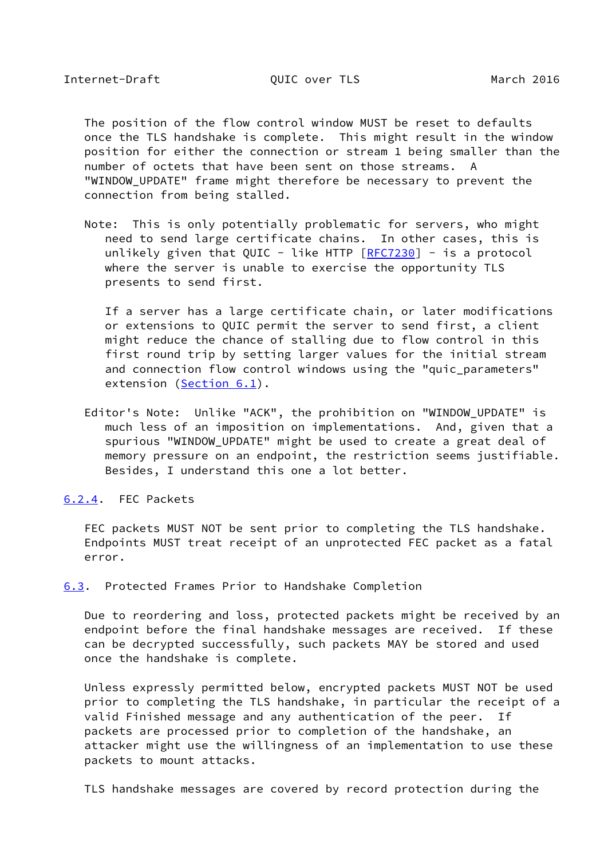<span id="page-17-1"></span> The position of the flow control window MUST be reset to defaults once the TLS handshake is complete. This might result in the window position for either the connection or stream 1 being smaller than the number of octets that have been sent on those streams. A "WINDOW\_UPDATE" frame might therefore be necessary to prevent the connection from being stalled.

 Note: This is only potentially problematic for servers, who might need to send large certificate chains. In other cases, this is unlikely given that QUIC - like HTTP  $[REC7230]$  - is a protocol where the server is unable to exercise the opportunity TLS presents to send first.

 If a server has a large certificate chain, or later modifications or extensions to QUIC permit the server to send first, a client might reduce the chance of stalling due to flow control in this first round trip by setting larger values for the initial stream and connection flow control windows using the "quic\_parameters" extension [\(Section 6.1](#page-12-0)).

 Editor's Note: Unlike "ACK", the prohibition on "WINDOW\_UPDATE" is much less of an imposition on implementations. And, given that a spurious "WINDOW\_UPDATE" might be used to create a great deal of memory pressure on an endpoint, the restriction seems justifiable. Besides, I understand this one a lot better.

<span id="page-17-0"></span>[6.2.4](#page-17-0). FEC Packets

 FEC packets MUST NOT be sent prior to completing the TLS handshake. Endpoints MUST treat receipt of an unprotected FEC packet as a fatal error.

<span id="page-17-2"></span>[6.3](#page-17-2). Protected Frames Prior to Handshake Completion

 Due to reordering and loss, protected packets might be received by an endpoint before the final handshake messages are received. If these can be decrypted successfully, such packets MAY be stored and used once the handshake is complete.

 Unless expressly permitted below, encrypted packets MUST NOT be used prior to completing the TLS handshake, in particular the receipt of a valid Finished message and any authentication of the peer. If packets are processed prior to completion of the handshake, an attacker might use the willingness of an implementation to use these packets to mount attacks.

TLS handshake messages are covered by record protection during the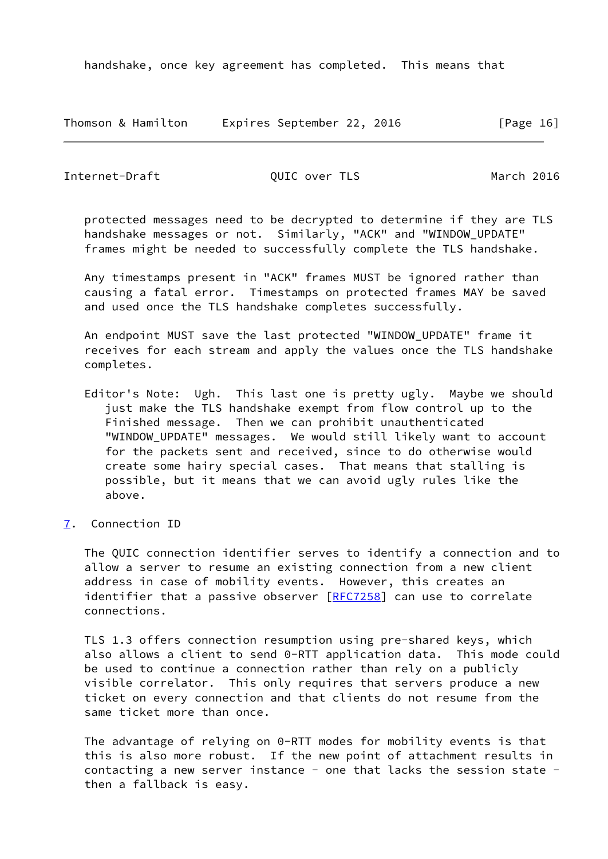| Thomson & Hamilton | Expires September 22, 2016 | [Page 16] |
|--------------------|----------------------------|-----------|
|--------------------|----------------------------|-----------|

<span id="page-18-1"></span>Internet-Draft QUIC over TLS March 2016

 protected messages need to be decrypted to determine if they are TLS handshake messages or not. Similarly, "ACK" and "WINDOW\_UPDATE" frames might be needed to successfully complete the TLS handshake.

 Any timestamps present in "ACK" frames MUST be ignored rather than causing a fatal error. Timestamps on protected frames MAY be saved and used once the TLS handshake completes successfully.

 An endpoint MUST save the last protected "WINDOW\_UPDATE" frame it receives for each stream and apply the values once the TLS handshake completes.

- Editor's Note: Ugh. This last one is pretty ugly. Maybe we should just make the TLS handshake exempt from flow control up to the Finished message. Then we can prohibit unauthenticated "WINDOW\_UPDATE" messages. We would still likely want to account for the packets sent and received, since to do otherwise would create some hairy special cases. That means that stalling is possible, but it means that we can avoid ugly rules like the above.
- <span id="page-18-0"></span>[7](#page-18-0). Connection ID

 The QUIC connection identifier serves to identify a connection and to allow a server to resume an existing connection from a new client address in case of mobility events. However, this creates an identifier that a passive observer [[RFC7258\]](https://datatracker.ietf.org/doc/pdf/rfc7258) can use to correlate connections.

 TLS 1.3 offers connection resumption using pre-shared keys, which also allows a client to send 0-RTT application data. This mode could be used to continue a connection rather than rely on a publicly visible correlator. This only requires that servers produce a new ticket on every connection and that clients do not resume from the same ticket more than once.

 The advantage of relying on 0-RTT modes for mobility events is that this is also more robust. If the new point of attachment results in contacting a new server instance - one that lacks the session state then a fallback is easy.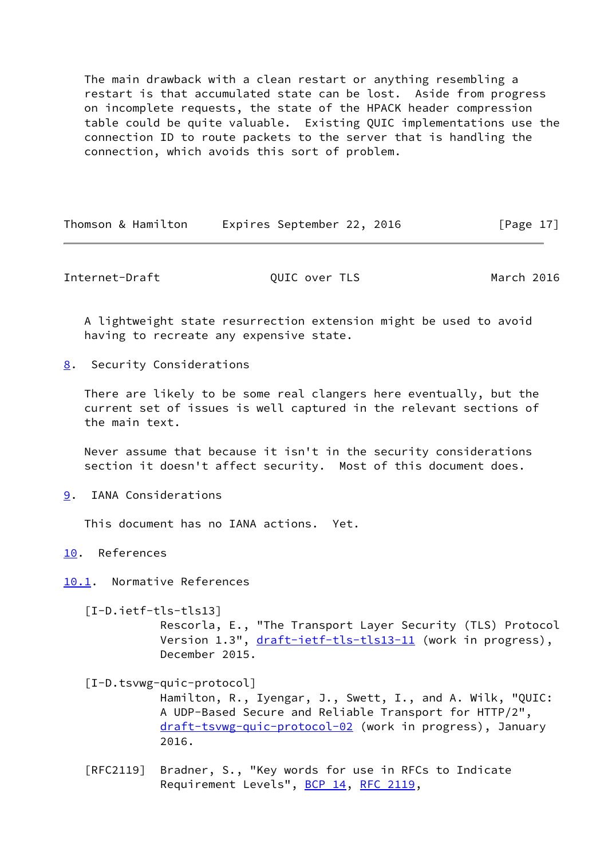The main drawback with a clean restart or anything resembling a restart is that accumulated state can be lost. Aside from progress on incomplete requests, the state of the HPACK header compression table could be quite valuable. Existing QUIC implementations use the connection ID to route packets to the server that is handling the connection, which avoids this sort of problem.

Thomson & Hamilton Expires September 22, 2016 [Page 17]

<span id="page-19-1"></span>Internet-Draft QUIC over TLS March 2016

 A lightweight state resurrection extension might be used to avoid having to recreate any expensive state.

<span id="page-19-0"></span>[8](#page-19-0). Security Considerations

 There are likely to be some real clangers here eventually, but the current set of issues is well captured in the relevant sections of the main text.

 Never assume that because it isn't in the security considerations section it doesn't affect security. Most of this document does.

<span id="page-19-2"></span>[9](#page-19-2). IANA Considerations

This document has no IANA actions. Yet.

<span id="page-19-3"></span>[10.](#page-19-3) References

<span id="page-19-4"></span>[10.1](#page-19-4). Normative References

<span id="page-19-6"></span> [I-D.ietf-tls-tls13] Rescorla, E., "The Transport Layer Security (TLS) Protocol Version 1.3", [draft-ietf-tls-tls13-11](https://datatracker.ietf.org/doc/pdf/draft-ietf-tls-tls13-11) (work in progress), December 2015.

<span id="page-19-5"></span> [I-D.tsvwg-quic-protocol] Hamilton, R., Iyengar, J., Swett, I., and A. Wilk, "QUIC: A UDP-Based Secure and Reliable Transport for HTTP/2", [draft-tsvwg-quic-protocol-02](https://datatracker.ietf.org/doc/pdf/draft-tsvwg-quic-protocol-02) (work in progress), January 2016.

 [RFC2119] Bradner, S., "Key words for use in RFCs to Indicate Requirement Levels", [BCP 14](https://datatracker.ietf.org/doc/pdf/bcp14), [RFC 2119](https://datatracker.ietf.org/doc/pdf/rfc2119),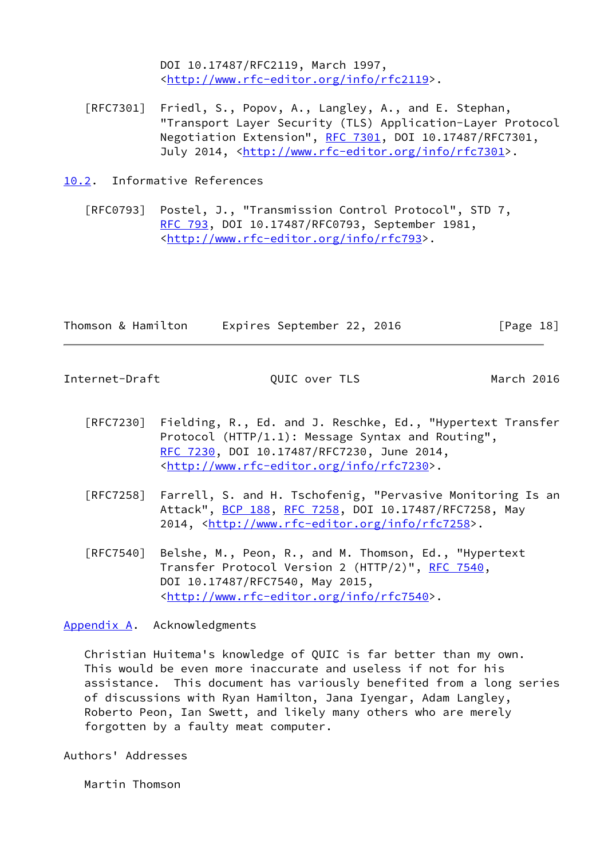DOI 10.17487/RFC2119, March 1997, <<http://www.rfc-editor.org/info/rfc2119>>.

- [RFC7301] Friedl, S., Popov, A., Langley, A., and E. Stephan, "Transport Layer Security (TLS) Application-Layer Protocol Negotiation Extension", [RFC 7301,](https://datatracker.ietf.org/doc/pdf/rfc7301) DOI 10.17487/RFC7301, July 2014, <<http://www.rfc-editor.org/info/rfc7301>>.
- <span id="page-20-0"></span>[10.2](#page-20-0). Informative References

 [RFC0793] Postel, J., "Transmission Control Protocol", STD 7, [RFC 793](https://datatracker.ietf.org/doc/pdf/rfc793), DOI 10.17487/RFC0793, September 1981, <[http://www.rfc-editor.org/info/rfc793>](http://www.rfc-editor.org/info/rfc793).

|  | Thomson & Hamilton | Expires September 22, 2016 |  | [Page 18] |  |
|--|--------------------|----------------------------|--|-----------|--|
|  |                    |                            |  |           |  |

<span id="page-20-2"></span>Internet-Draft QUIC over TLS March 2016

- [RFC7230] Fielding, R., Ed. and J. Reschke, Ed., "Hypertext Transfer Protocol (HTTP/1.1): Message Syntax and Routing", [RFC 7230,](https://datatracker.ietf.org/doc/pdf/rfc7230) DOI 10.17487/RFC7230, June 2014, <<http://www.rfc-editor.org/info/rfc7230>>.
- [RFC7258] Farrell, S. and H. Tschofenig, "Pervasive Monitoring Is an Attack", [BCP 188,](https://datatracker.ietf.org/doc/pdf/bcp188) [RFC 7258](https://datatracker.ietf.org/doc/pdf/rfc7258), DOI 10.17487/RFC7258, May 2014, [<http://www.rfc-editor.org/info/rfc7258](http://www.rfc-editor.org/info/rfc7258)>.
- [RFC7540] Belshe, M., Peon, R., and M. Thomson, Ed., "Hypertext Transfer Protocol Version 2 (HTTP/2)", [RFC 7540](https://datatracker.ietf.org/doc/pdf/rfc7540), DOI 10.17487/RFC7540, May 2015, <<http://www.rfc-editor.org/info/rfc7540>>.

<span id="page-20-1"></span>[Appendix A.](#page-20-1) Acknowledgments

 Christian Huitema's knowledge of QUIC is far better than my own. This would be even more inaccurate and useless if not for his assistance. This document has variously benefited from a long series of discussions with Ryan Hamilton, Jana Iyengar, Adam Langley, Roberto Peon, Ian Swett, and likely many others who are merely forgotten by a faulty meat computer.

Authors' Addresses

Martin Thomson